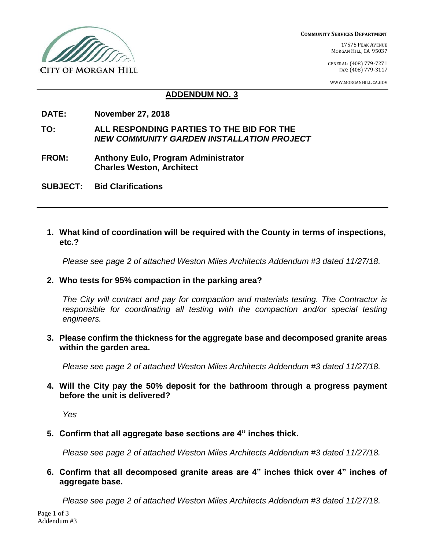

**COMMUNITY SERVICES DEPARTMENT**

17575 PEAK AVENUE MORGAN HILL, CA 95037

GENERAL:(408) 779-7271 FAX:(408) 779-3117

WWW.MORGANHILL.CA.GOV

### **ADDENDUM NO. 3**

- **DATE: November 27, 2018**
- **TO: ALL RESPONDING PARTIES TO THE BID FOR THE** *NEW COMMUNITY GARDEN INSTALLATION PROJECT*
- **FROM: Anthony Eulo, Program Administrator Charles Weston, Architect**
- **SUBJECT: Bid Clarifications**
	- **1. What kind of coordination will be required with the County in terms of inspections, etc.?**

*Please see page 2 of attached Weston Miles Architects Addendum #3 dated 11/27/18.*

**2. Who tests for 95% compaction in the parking area?**

*The City will contract and pay for compaction and materials testing. The Contractor is responsible for coordinating all testing with the compaction and/or special testing engineers.*

**3. Please confirm the thickness for the aggregate base and decomposed granite areas within the garden area.**

*Please see page 2 of attached Weston Miles Architects Addendum #3 dated 11/27/18.*

**4. Will the City pay the 50% deposit for the bathroom through a progress payment before the unit is delivered?**

*Yes*

**5. Confirm that all aggregate base sections are 4" inches thick.**

*Please see page 2 of attached Weston Miles Architects Addendum #3 dated 11/27/18.*

**6. Confirm that all decomposed granite areas are 4" inches thick over 4" inches of aggregate base.**

*Please see page 2 of attached Weston Miles Architects Addendum #3 dated 11/27/18.*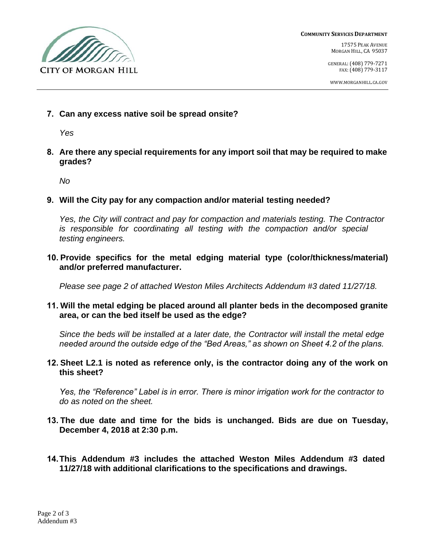

**COMMUNITY SERVICES DEPARTMENT**

17575 PEAK AVENUE MORGAN HILL, CA 95037

GENERAL:(408) 779-7271 FAX:(408) 779-3117

WWW.MORGANHILL.CA.GOV

**7. Can any excess native soil be spread onsite?**

*Yes*

**8. Are there any special requirements for any import soil that may be required to make grades?**

*No*

**9. Will the City pay for any compaction and/or material testing needed?**

*Yes, the City will contract and pay for compaction and materials testing. The Contractor is responsible for coordinating all testing with the compaction and/or special testing engineers.*

**10. Provide specifics for the metal edging material type (color/thickness/material) and/or preferred manufacturer.**

*Please see page 2 of attached Weston Miles Architects Addendum #3 dated 11/27/18.*

**11. Will the metal edging be placed around all planter beds in the decomposed granite area, or can the bed itself be used as the edge?**

*Since the beds will be installed at a later date, the Contractor will install the metal edge needed around the outside edge of the "Bed Areas," as shown on Sheet 4.2 of the plans.*

**12. Sheet L2.1 is noted as reference only, is the contractor doing any of the work on this sheet?**

*Yes, the "Reference" Label is in error. There is minor irrigation work for the contractor to do as noted on the sheet.*

- **13. The due date and time for the bids is unchanged. Bids are due on Tuesday, December 4, 2018 at 2:30 p.m.**
- **14.This Addendum #3 includes the attached Weston Miles Addendum #3 dated 11/27/18 with additional clarifications to the specifications and drawings.**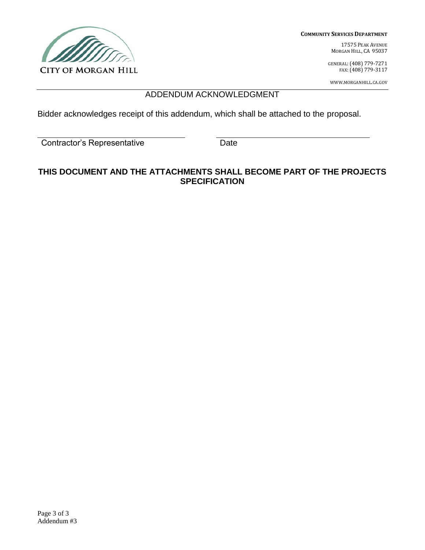

**COMMUNITY SERVICES DEPARTMENT**

17575 PEAK AVENUE MORGAN HILL, CA 95037

GENERAL:(408) 779-7271 FAX:(408) 779-3117

WWW.MORGANHILL.CA.GOV

## ADDENDUM ACKNOWLEDGMENT

Bidder acknowledges receipt of this addendum, which shall be attached to the proposal.

Contractor's Representative Date

## **THIS DOCUMENT AND THE ATTACHMENTS SHALL BECOME PART OF THE PROJECTS SPECIFICATION**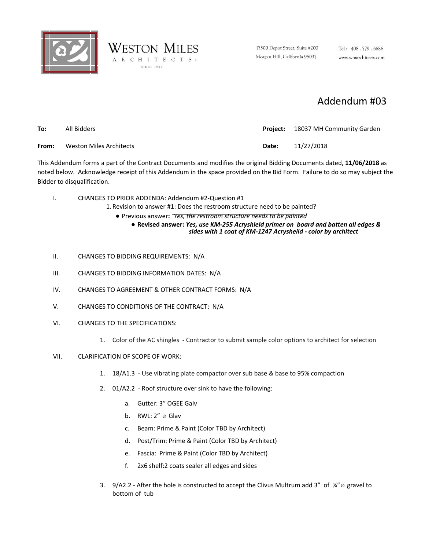



17500 Depot Street, Suite #200 Morgan Hill, California 95037

Tel: 408.779.6686 www.wmarchitects.com

# Addendum #03

| To:   | All Bidders             |              | <b>Project:</b> 18037 MH Community Garden |
|-------|-------------------------|--------------|-------------------------------------------|
| From: | Weston Miles Architects | <b>Date:</b> | 11/27/2018                                |

This Addendum forms a part of the Contract Documents and modifies the original Bidding Documents dated, **11/06/2018** as noted below. Acknowledge receipt of this Addendum in the space provided on the Bid Form. Failure to do so may subject the Bidder to disqualification.

I. CHANGES TO PRIOR ADDENDA: Addendum #2-Question #1

1. Revision to answer #1: Does the restroom structure need to be painted?

● Previous answer**:** *Yes, the restroom structure needs to be painted*

● **Revised answer:** *Yes, use KM-255 Acryshield primer on board and batten all edges & sides with 1 coat of KM-1247 Acrysheild - color by architect*

- II. CHANGES TO BIDDING REQUIREMENTS: N/A
- III. CHANGES TO BIDDING INFORMATION DATES: N/A
- IV. CHANGES TO AGREEMENT & OTHER CONTRACT FORMS: N/A
- V. CHANGES TO CONDITIONS OF THE CONTRACT: N/A
- VI. CHANGES TO THE SPECIFICATIONS:
	- 1. Color of the AC shingles Contractor to submit sample color options to architect for selection
- VII. CLARIFICATION OF SCOPE OF WORK:
	- 1. 18/A1.3 Use vibrating plate compactor over sub base & base to 95% compaction
	- 2. 01/A2.2 Roof structure over sink to have the following:
		- a. Gutter: 3" OGEE Galv
		- b. RWL:  $2'' \oslash$  Glav
		- c. Beam: Prime & Paint (Color TBD by Architect)
		- d. Post/Trim: Prime & Paint (Color TBD by Architect)
		- e. Fascia: Prime & Paint (Color TBD by Architect)
		- f. 2x6 shelf:2 coats sealer all edges and sides
	- 3. 9/A2.2 After the hole is constructed to accept the Clivus Multrum add 3" of ¾"ø gravel to bottom of tub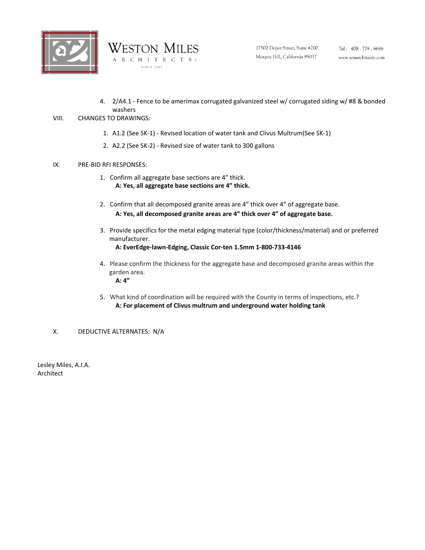



4. 2/A4.1 - Fence to be amerimax corrugated galvanized steel w/ corrugated siding w/ #8 & bonded washers

### VIII. CHANGES TO DRAWINGS:

- 1. A1.2 (See SK-1) Revised location of water tank and Clivus Multrum(See SK-1)
- 2. A2.2 (See SK-2) Revised size of water tank to 300 gallons

#### IX. PRE-BID RFI RESPONSES:

- 1. Confirm all aggregate base sections are 4" thick. **A: Yes, all aggregate base sections are 4" thick.**
- 2. Confirm that all decomposed granite areas are 4" thick over 4" of aggregate base. **A: Yes, all decomposed granite areas are 4" thick over 4" of aggregate base.**
- 3. Provide specifics for the metal edging material type (color/thickness/material) and or preferred manufacturer. **A: EverEdge-lawn-Edging, Classic Cor-ten 1.5mm 1-800-733-4146**
- 4. Please confirm the thickness for the aggregate base and decomposed granite areas within the garden area. **A: 4"**
- 5. What kind of coordination will be required with the County in terms of inspections, etc.? **A: For placement of Clivus multrum and underground water holding tank**

### X. DEDUCTIVE ALTERNATES: N/A

Lesley Miles, A.I.A. Architect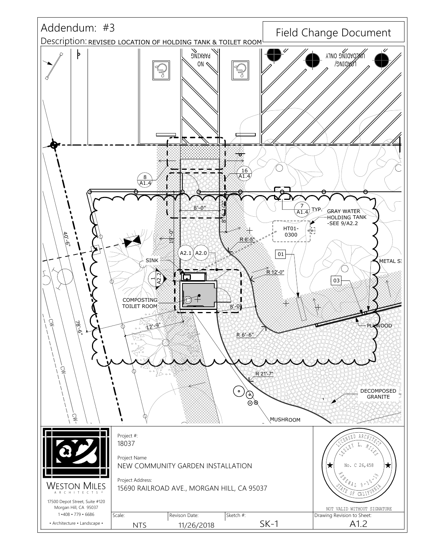